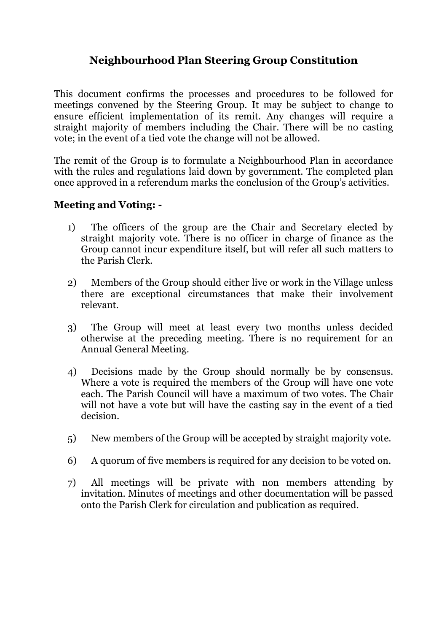## **Neighbourhood Plan Steering Group Constitution**

This document confirms the processes and procedures to be followed for meetings convened by the Steering Group. It may be subject to change to ensure efficient implementation of its remit. Any changes will require a straight majority of members including the Chair. There will be no casting vote; in the event of a tied vote the change will not be allowed.

The remit of the Group is to formulate a Neighbourhood Plan in accordance with the rules and regulations laid down by government. The completed plan once approved in a referendum marks the conclusion of the Group's activities.

## **Meeting and Voting: -**

- 1) The officers of the group are the Chair and Secretary elected by straight majority vote. There is no officer in charge of finance as the Group cannot incur expenditure itself, but will refer all such matters to the Parish Clerk.
- 2) Members of the Group should either live or work in the Village unless there are exceptional circumstances that make their involvement relevant.
- 3) The Group will meet at least every two months unless decided otherwise at the preceding meeting. There is no requirement for an Annual General Meeting.
- 4) Decisions made by the Group should normally be by consensus. Where a vote is required the members of the Group will have one vote each. The Parish Council will have a maximum of two votes. The Chair will not have a vote but will have the casting say in the event of a tied decision.
- 5) New members of the Group will be accepted by straight majority vote.
- 6) A quorum of five members is required for any decision to be voted on.
- 7) All meetings will be private with non members attending by invitation. Minutes of meetings and other documentation will be passed onto the Parish Clerk for circulation and publication as required.